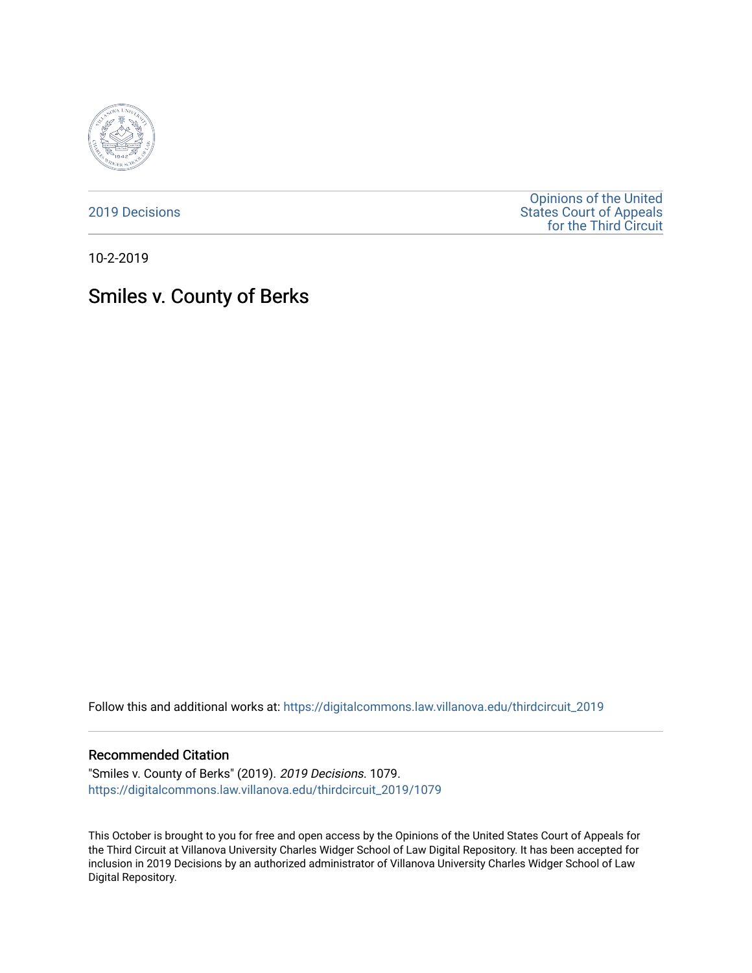

[2019 Decisions](https://digitalcommons.law.villanova.edu/thirdcircuit_2019)

[Opinions of the United](https://digitalcommons.law.villanova.edu/thirdcircuit)  [States Court of Appeals](https://digitalcommons.law.villanova.edu/thirdcircuit)  [for the Third Circuit](https://digitalcommons.law.villanova.edu/thirdcircuit) 

10-2-2019

# Smiles v. County of Berks

Follow this and additional works at: [https://digitalcommons.law.villanova.edu/thirdcircuit\\_2019](https://digitalcommons.law.villanova.edu/thirdcircuit_2019?utm_source=digitalcommons.law.villanova.edu%2Fthirdcircuit_2019%2F1079&utm_medium=PDF&utm_campaign=PDFCoverPages) 

#### Recommended Citation

"Smiles v. County of Berks" (2019). 2019 Decisions. 1079. [https://digitalcommons.law.villanova.edu/thirdcircuit\\_2019/1079](https://digitalcommons.law.villanova.edu/thirdcircuit_2019/1079?utm_source=digitalcommons.law.villanova.edu%2Fthirdcircuit_2019%2F1079&utm_medium=PDF&utm_campaign=PDFCoverPages) 

This October is brought to you for free and open access by the Opinions of the United States Court of Appeals for the Third Circuit at Villanova University Charles Widger School of Law Digital Repository. It has been accepted for inclusion in 2019 Decisions by an authorized administrator of Villanova University Charles Widger School of Law Digital Repository.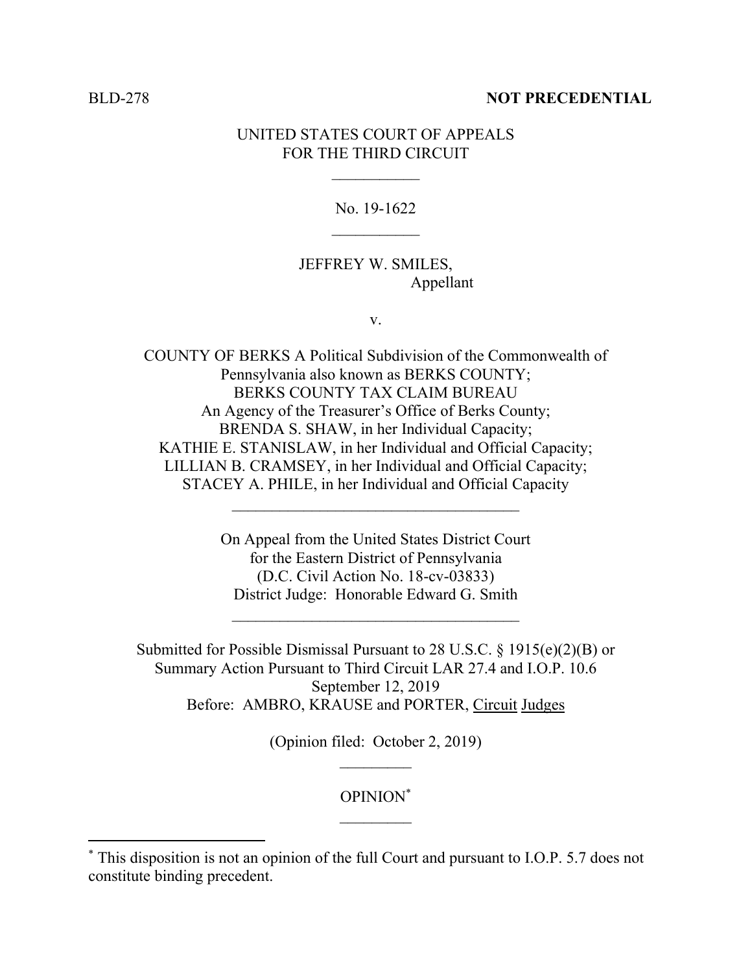#### BLD-278 **NOT PRECEDENTIAL**

### UNITED STATES COURT OF APPEALS FOR THE THIRD CIRCUIT

No. 19-1622  $\mathcal{L}_\text{max}$ 

## JEFFREY W. SMILES, Appellant

v.

COUNTY OF BERKS A Political Subdivision of the Commonwealth of Pennsylvania also known as BERKS COUNTY; BERKS COUNTY TAX CLAIM BUREAU An Agency of the Treasurer's Office of Berks County; BRENDA S. SHAW, in her Individual Capacity; KATHIE E. STANISLAW, in her Individual and Official Capacity; LILLIAN B. CRAMSEY, in her Individual and Official Capacity; STACEY A. PHILE, in her Individual and Official Capacity

> On Appeal from the United States District Court for the Eastern District of Pennsylvania (D.C. Civil Action No. 18-cv-03833) District Judge: Honorable Edward G. Smith

 $\mathcal{L}_\text{max} = \frac{1}{2} \sum_{i=1}^n \mathcal{L}_i \mathcal{L}_i$ 

Submitted for Possible Dismissal Pursuant to 28 U.S.C. § 1915(e)(2)(B) or Summary Action Pursuant to Third Circuit LAR 27.4 and I.O.P. 10.6 September 12, 2019 Before: AMBRO, KRAUSE and PORTER, Circuit Judges

> (Opinion filed: October 2, 2019)  $\mathcal{L}_\text{max}$

> > OPINION\*  $\frac{1}{2}$

 $\overline{a}$ 

<sup>\*</sup> This disposition is not an opinion of the full Court and pursuant to I.O.P. 5.7 does not constitute binding precedent.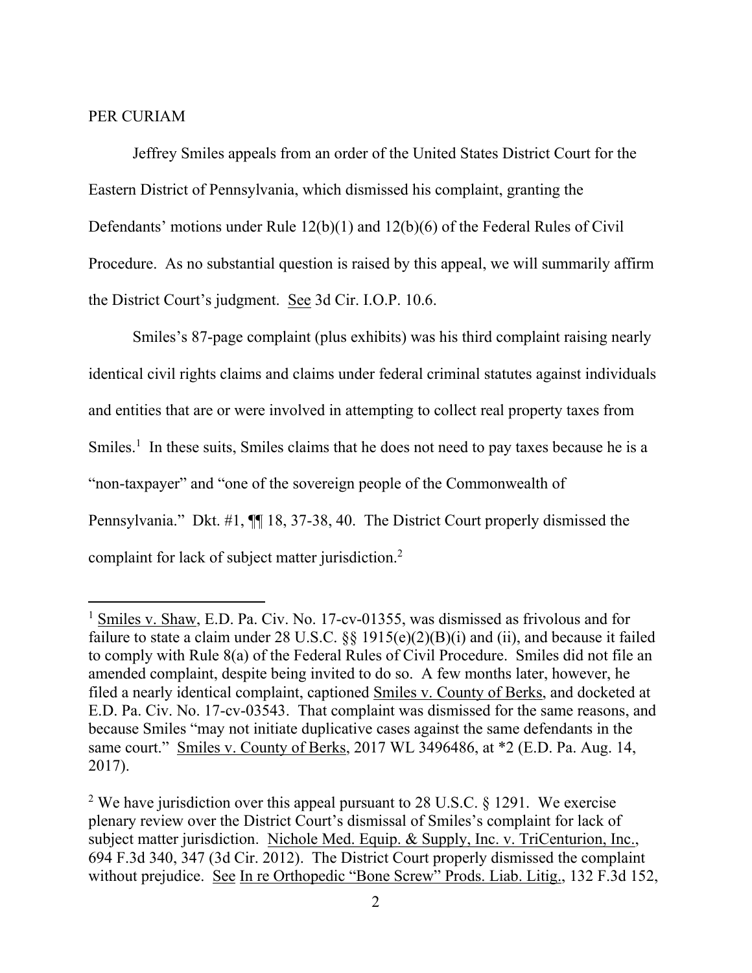#### PER CURIAM

 $\overline{a}$ 

Jeffrey Smiles appeals from an order of the United States District Court for the Eastern District of Pennsylvania, which dismissed his complaint, granting the Defendants' motions under Rule 12(b)(1) and 12(b)(6) of the Federal Rules of Civil Procedure. As no substantial question is raised by this appeal, we will summarily affirm the District Court's judgment. See 3d Cir. I.O.P. 10.6.

Smiles's 87-page complaint (plus exhibits) was his third complaint raising nearly identical civil rights claims and claims under federal criminal statutes against individuals and entities that are or were involved in attempting to collect real property taxes from Smiles.<sup>1</sup> In these suits, Smiles claims that he does not need to pay taxes because he is a "non-taxpayer" and "one of the sovereign people of the Commonwealth of Pennsylvania." Dkt. #1, ¶¶ 18, 37-38, 40. The District Court properly dismissed the complaint for lack of subject matter jurisdiction.<sup>2</sup>

<sup>&</sup>lt;sup>1</sup> Smiles v. Shaw, E.D. Pa. Civ. No. 17-cv-01355, was dismissed as frivolous and for failure to state a claim under 28 U.S.C. §§ 1915(e)(2)(B)(i) and (ii), and because it failed to comply with Rule 8(a) of the Federal Rules of Civil Procedure. Smiles did not file an amended complaint, despite being invited to do so. A few months later, however, he filed a nearly identical complaint, captioned Smiles v. County of Berks, and docketed at E.D. Pa. Civ. No. 17-cv-03543. That complaint was dismissed for the same reasons, and because Smiles "may not initiate duplicative cases against the same defendants in the same court." Smiles v. County of Berks, 2017 WL 3496486, at \*2 (E.D. Pa. Aug. 14, 2017).

<sup>&</sup>lt;sup>2</sup> We have jurisdiction over this appeal pursuant to 28 U.S.C. § 1291. We exercise plenary review over the District Court's dismissal of Smiles's complaint for lack of subject matter jurisdiction. Nichole Med. Equip. & Supply, Inc. v. TriCenturion, Inc., 694 F.3d 340, 347 (3d Cir. 2012). The District Court properly dismissed the complaint without prejudice. See In re Orthopedic "Bone Screw" Prods. Liab. Litig., 132 F.3d 152,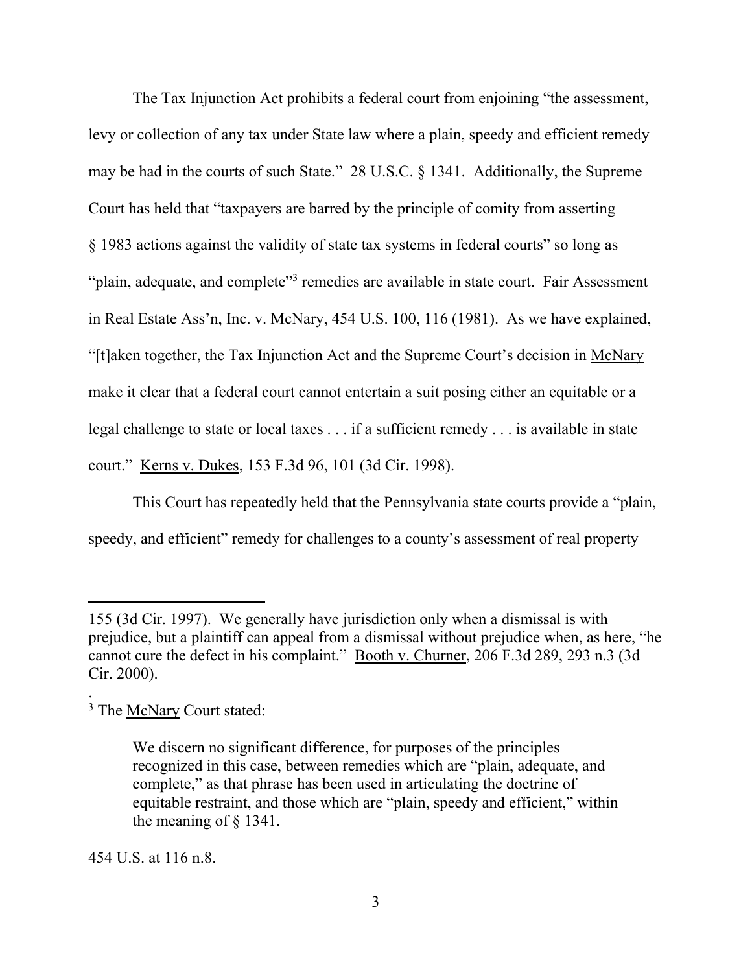The Tax Injunction Act prohibits a federal court from enjoining "the assessment, levy or collection of any tax under State law where a plain, speedy and efficient remedy may be had in the courts of such State." 28 U.S.C. § 1341. Additionally, the Supreme Court has held that "taxpayers are barred by the principle of comity from asserting § 1983 actions against the validity of state tax systems in federal courts" so long as "plain, adequate, and complete"<sup>3</sup> remedies are available in state court. Fair Assessment in Real Estate Ass'n, Inc. v. McNary, 454 U.S. 100, 116 (1981). As we have explained, "[t]aken together, the Tax Injunction Act and the Supreme Court's decision in McNary make it clear that a federal court cannot entertain a suit posing either an equitable or a legal challenge to state or local taxes . . . if a sufficient remedy . . . is available in state court." Kerns v. Dukes, 153 F.3d 96, 101 (3d Cir. 1998).

This Court has repeatedly held that the Pennsylvania state courts provide a "plain, speedy, and efficient" remedy for challenges to a county's assessment of real property

 $\overline{a}$ 

.

454 U.S. at 116 n.8.

<sup>155 (3</sup>d Cir. 1997). We generally have jurisdiction only when a dismissal is with prejudice, but a plaintiff can appeal from a dismissal without prejudice when, as here, "he cannot cure the defect in his complaint." Booth v. Churner, 206 F.3d 289, 293 n.3 (3d Cir. 2000).

<sup>&</sup>lt;sup>3</sup> The McNary Court stated:

We discern no significant difference, for purposes of the principles recognized in this case, between remedies which are "plain, adequate, and complete," as that phrase has been used in articulating the doctrine of equitable restraint, and those which are "plain, speedy and efficient," within the meaning of § 1341.